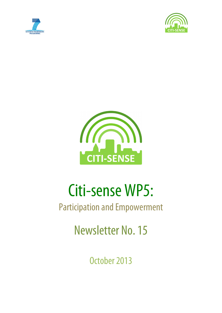





# Citi-sense WP5:

# Participation and Empowerment

Newsletter No. 15

October 2013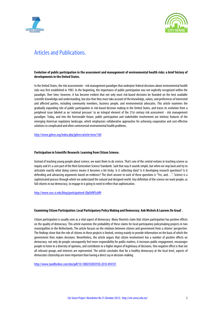



### Articles and Publications.

#### **Evolution of public participation in the assessment and management of environmental health risks: a brief history of developments in the United States.**

In the United States, the risk assessmentm - risk management paradigm that underpins federal decisions about environmental health risks was first established in 1983. In the beginning, the importance of public participation was not explicitly recognized within the paradigm. Over time, however, it has become evident that not only must risk-based decisions be founded on the best available scientific knowledge and understanding, but also that they must take account of the knowledge, values, and preferences of interested and affected parties, including community members, business people, and environmental advocates. This article examines the gradually expanding role of public participation in risk-based decision making in the United States, and traces its evolution from a peripheral issue labeled as an 'external pressure' to an integral element of the 21st century risk assessment - risk management paradigm. Today, and into the foreseeable future, public participation and stakeholder involvement are intrinsic features of the emerging American regulatory landscape, which emphasizes collaborative approaches for achieving cooperative and cost-effective solutions to complicated and often controversial environmental health problems.

http://www.jphres.org/index.php/jphres/article/view/160

#### **Participation in Scientific Research: Learning from Citizen Science.**

Instead of teaching young people about science, we want them to do science. That's one of the central notions in teaching science as inquiry and it's a core part of the Next Generation Science Standards. Said that way it sounds simple, but when we step back and try to articulate exactly what doing science means it becomes a bit tricky. Is it collecting data? Is it developing research questions? Is it defending and advancing arguments based on evidence? The short answer to each of these questions is "Yes, and…". Science is a sophisticated process through which we understand the natural and designed world. Any definition of the science we want people, as full citizens in our democracy, to engage in is going to need to reflect that sophistication.

http://www.ssec.si.edu/blog/participation#.UlpOdWScbfH

#### **Examining Citizen Participation: Local Participatory Policy Making and Democracy**. **Ank Michels & Laurens De Graaf .**

Citizen participation is usually seen as a vital aspect of democracy. Many theorists claim that citizen participation has positive effects on the quality of democracy. This article examines the probability of these claims for local participatory policymaking projects in two municipalities in the Netherlands. The article focuses on the relations between citizens and government from a citizens' perspective. The findings show that the role of citizens in these projects is limited, serving mainly to provide information on the basis of which the government then makes decisions. Nevertheless, the article argues that citizen involvement has a number of positive effects on democracy: not only do people consequently feel more responsibility for public matters, it increases public engagement, encourages people to listen to a diversity of opinions, and contributes to a higher degree of legitimacy of decisions. One negative effect is that not all relevant groups and interests are represented. The article concludes that for a healthy democracy at the local level, aspects of democratic citizenship are more important than having a direct say in decision-making.

http://www.tandfonline.com/doi/pdf/10.1080/03003930.2010.494101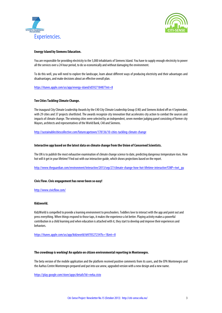



#### **Energy Island by Siemens Education.**

You are responsible for providing electricity to the 5,000 inhabitants of Siemens Island. You have to supply enough electricity to power all the services over a 24 hour period, to do so economically and without damaging the environment.

To do this well, you will need to explore the landscape, learn about different ways of producing electricity and their advantages and disadvantages, and make decisions about an effective overall plan.

https://itunes.apple.com/us/app/energy-island/id592718487?mt=8

#### **Ten Cities Tackling Climate Change.**

The inaugural City Climate Leadership Awards by the C40 City Climate Leadership Group (C40) and Siemens kicked off on 4 September, with 29 cities and 37 projects shortlisted. The awards recognize city innovation that accelerates city action to combat the sources and impacts of climate change. The winning cities were selected by an independent, seven member judging panel consisting of former city Mayors, architects and representatives of the World Bank, C40 and Siemens.

http://sustainablecitiescollective.com/futurecapetown/178136/10-cities-tackling-climate-change

#### **Interactive app based on the latest data on climate change from the Union of Concerned Scientists.**

The UN is to publish the most exhaustive examination of climate change science to date, predicting dangerous temperature rises. How hot will it get in your lifetime? Find out with our interactive guide, which shows projections based on the report.

http://www.theguardian.com/environment/interactive/2013/sep/27/climate-change-how-hot-lifetime-interactive?CMP=twt\_gu

#### **Civic Flow. Civic engagement has never been so easy!**

http://www.civicflow.com/

#### **Kidzworld.**

KidzWorld is compelled to provide a learning environment to preschoolers. Toddlers love to interact with the app and point out and press everything. When things respond to those taps, it makes the experience a lot better. Playing activity makes a powerful contribution in a child learning and when education is attached with it, they start to develop and improve their experiences and behaviors.

https://itunes.apple.com/us/app/kidzworld/id470527234?ls=1&mt=8

#### **The crowdmap is working! An update on citizen environmental reporting in Montenegro.**

The beta version of the mobile application and the platform received positive comments from its users, and the EPA Montenegro and the Aarhus Centre Montenegro prepared and put into use anew, upgraded version with a new design and a new name.

https://play.google.com/store/apps/details?id=neka.cisto